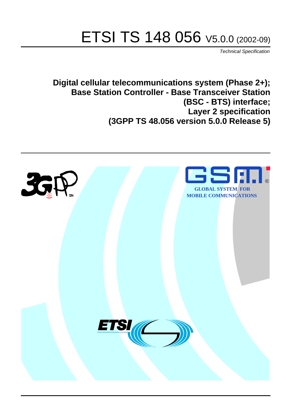# ETSI TS 148 056 V5.0.0 (2002-09)

Technical Specification

**Digital cellular telecommunications system (Phase 2+); Base Station Controller - Base Transceiver Station (BSC - BTS) interface; Layer 2 specification (3GPP TS 48.056 version 5.0.0 Release 5)**

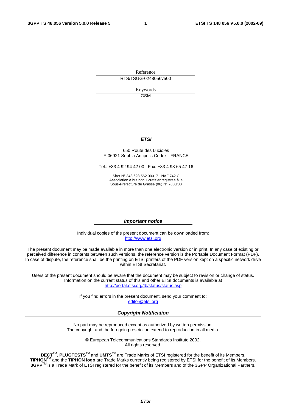Reference RTS/TSGG-0248056v500

> Keywords GSM

#### **ETSI**

#### 650 Route des Lucioles F-06921 Sophia Antipolis Cedex - FRANCE

Tel.: +33 4 92 94 42 00 Fax: +33 4 93 65 47 16

Siret N° 348 623 562 00017 - NAF 742 C Association à but non lucratif enregistrée à la Sous-Préfecture de Grasse (06) N° 7803/88

#### **Important notice**

Individual copies of the present document can be downloaded from: [http://www.etsi.org](http://www.etsi.org/)

The present document may be made available in more than one electronic version or in print. In any case of existing or perceived difference in contents between such versions, the reference version is the Portable Document Format (PDF). In case of dispute, the reference shall be the printing on ETSI printers of the PDF version kept on a specific network drive within ETSI Secretariat.

Users of the present document should be aware that the document may be subject to revision or change of status. Information on the current status of this and other ETSI documents is available at <http://portal.etsi.org/tb/status/status.asp>

> If you find errors in the present document, send your comment to: [editor@etsi.org](mailto:editor@etsi.org)

#### **Copyright Notification**

No part may be reproduced except as authorized by written permission. The copyright and the foregoing restriction extend to reproduction in all media.

> © European Telecommunications Standards Institute 2002. All rights reserved.

**DECT**TM, **PLUGTESTS**TM and **UMTS**TM are Trade Marks of ETSI registered for the benefit of its Members. **TIPHON**TM and the **TIPHON logo** are Trade Marks currently being registered by ETSI for the benefit of its Members. **3GPP**TM is a Trade Mark of ETSI registered for the benefit of its Members and of the 3GPP Organizational Partners.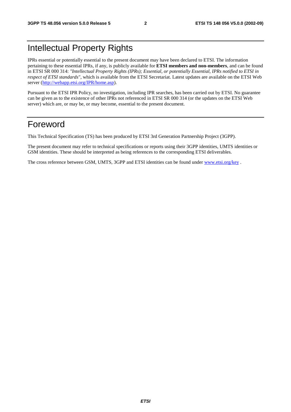# Intellectual Property Rights

IPRs essential or potentially essential to the present document may have been declared to ETSI. The information pertaining to these essential IPRs, if any, is publicly available for **ETSI members and non-members**, and can be found in ETSI SR 000 314: *"Intellectual Property Rights (IPRs); Essential, or potentially Essential, IPRs notified to ETSI in respect of ETSI standards"*, which is available from the ETSI Secretariat. Latest updates are available on the ETSI Web server ([http://webapp.etsi.org/IPR/home.asp\)](http://webapp.etsi.org/IPR/home.asp).

Pursuant to the ETSI IPR Policy, no investigation, including IPR searches, has been carried out by ETSI. No guarantee can be given as to the existence of other IPRs not referenced in ETSI SR 000 314 (or the updates on the ETSI Web server) which are, or may be, or may become, essential to the present document.

# Foreword

This Technical Specification (TS) has been produced by ETSI 3rd Generation Partnership Project (3GPP).

The present document may refer to technical specifications or reports using their 3GPP identities, UMTS identities or GSM identities. These should be interpreted as being references to the corresponding ETSI deliverables.

The cross reference between GSM, UMTS, 3GPP and ETSI identities can be found under [www.etsi.org/key](http://www.etsi.org/key) .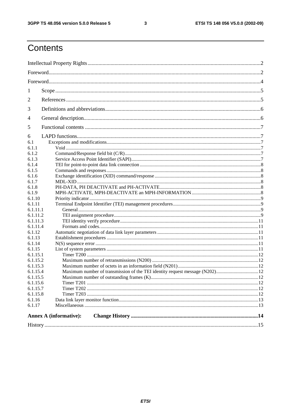#### $\mathbf{3}$

# Contents

|                      | <b>Annex A (informative):</b> |  |  |  |
|----------------------|-------------------------------|--|--|--|
| 6.1.17               |                               |  |  |  |
| 6.1.16               |                               |  |  |  |
| 6.1.15.8             |                               |  |  |  |
| 6.1.15.7             |                               |  |  |  |
| 6.1.15.6             |                               |  |  |  |
| 6.1.15.5             |                               |  |  |  |
| 6.1.15.3<br>6.1.15.4 |                               |  |  |  |
| 6.1.15.2             |                               |  |  |  |
| 6.1.15.1             |                               |  |  |  |
| 6.1.15               |                               |  |  |  |
| 6.1.14               |                               |  |  |  |
| 6.1.13               |                               |  |  |  |
| 6.1.12               |                               |  |  |  |
| 6.1.11.4             |                               |  |  |  |
| 6.1.11.3             |                               |  |  |  |
| 6.1.11.2             |                               |  |  |  |
| 6.1.11.1             |                               |  |  |  |
| 6.1.11               |                               |  |  |  |
| 6.1.9<br>6.1.10      |                               |  |  |  |
| 6.1.8                |                               |  |  |  |
| 6.1.7                |                               |  |  |  |
| 6.1.6                |                               |  |  |  |
| 6.1.5                |                               |  |  |  |
| 6.1.4                |                               |  |  |  |
| 6.1.3                |                               |  |  |  |
| 6.1.2                |                               |  |  |  |
| 6.1.1                |                               |  |  |  |
| 6<br>6.1             |                               |  |  |  |
|                      |                               |  |  |  |
| 5                    |                               |  |  |  |
| 4                    |                               |  |  |  |
| 3                    |                               |  |  |  |
| 2                    |                               |  |  |  |
|                      |                               |  |  |  |
| 1                    |                               |  |  |  |
|                      |                               |  |  |  |
|                      |                               |  |  |  |
|                      |                               |  |  |  |
|                      |                               |  |  |  |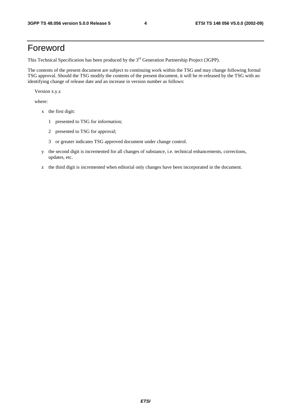# Foreword

This Technical Specification has been produced by the 3<sup>rd</sup> Generation Partnership Project (3GPP).

The contents of the present document are subject to continuing work within the TSG and may change following formal TSG approval. Should the TSG modify the contents of the present document, it will be re-released by the TSG with an identifying change of release date and an increase in version number as follows:

Version x.y.z

where:

- x the first digit:
	- 1 presented to TSG for information;
	- 2 presented to TSG for approval;
	- 3 or greater indicates TSG approved document under change control.
- y the second digit is incremented for all changes of substance, i.e. technical enhancements, corrections, updates, etc.
- z the third digit is incremented when editorial only changes have been incorporated in the document.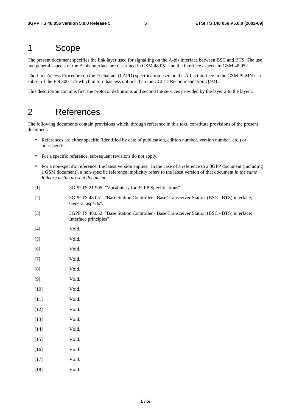# 1 Scope

The present document specifies the link layer used for signalling on the A-bis interface between BSC and BTS. The use and general aspects of the A-bis interface are described in GSM 48.051 and the interface aspects in GSM 48.052.

The Link Access Procedure on the D-channel (LAPD) specification used on the A-bis interface in the GSM PLMN is a subset of the EN 300 125 which in turn has less options than the CCITT Recommendation Q.921.

This description contains first the protocol definitions and second the services provided by the layer 2 to the layer 3.

# 2 References

The following documents contain provisions which, through reference in this text, constitute provisions of the present document.

- References are either specific (identified by date of publication, edition number, version number, etc.) or non-specific.
- For a specific reference, subsequent revisions do not apply.
- For a non-specific reference, the latest version applies. In the case of a reference to a 3GPP document (including a GSM document), a non-specific reference implicitly refers to the latest version of that document *in the same Release as the present document*.
- [1] 3GPP TS 21.905: "Vocabulary for 3GPP Specifications".
- [2] 3GPP TS 48.051: "Base Station Controller Base Transceiver Station (BSC BTS) interface; General aspects".
- [3] 3GPP TS 48.052: "Base Station Controller Base Transceiver Station (BSC BTS) interface; Interface principles".
- [4] Void.
- [5] Void.
- [6] Void.
- [7] Void.
- [8] Void.
- [9] Void.
- [10] **Void.**
- [11] **Void.**
- [12] Void.
- [13] **Void.**
- [14] **Void.**
- [15] Void.
- [16] Void.
- [17] Void.
- [18] Void.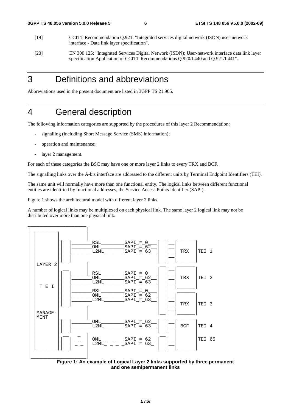- [19] CCITT Recommendation Q.921: "Integrated services digital network (ISDN) user-network interface - Data link layer specification".
- [20] EN 300 125: "Integrated Services Digital Network (ISDN); User-network interface data link layer specification Application of CCITT Recommendations Q.920/I.440 and Q.921/I.441".

# 3 Definitions and abbreviations

Abbreviations used in the present document are listed in 3GPP TS 21.905.

# 4 General description

The following information categories are supported by the procedures of this layer 2 Recommendation:

- signalling (including Short Message Service (SMS) information);
- operation and maintenance;
- layer 2 management.

For each of these categories the BSC may have one or more layer 2 links to every TRX and BCF.

The signalling links over the A-bis interface are addressed to the different units by Terminal Endpoint Identifiers (TEI).

The same unit will normally have more than one functional entity. The logical links between different functional entities are identified by functional addresses, the Service Access Points Identifier (SAPI).

Figure 1 shows the architectural model with different layer 2 links.

A number of logical links may be multiplexed on each physical link. The same layer 2 logical link may not be distributed over more than one physical link.



**Figure 1: An example of Logical Layer 2 links supported by three permanent and one semipermanent links**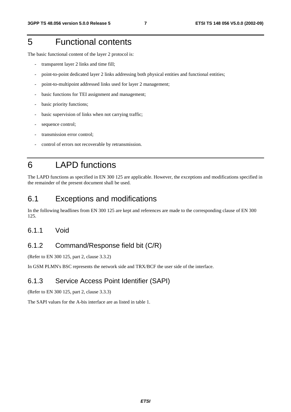# 5 Functional contents

The basic functional content of the layer 2 protocol is:

- transparent layer 2 links and time fill;
- point-to-point dedicated layer 2 links addressing both physical entities and functional entities;
- point-to-multipoint addressed links used for layer 2 management;
- basic functions for TEI assignment and management;
- basic priority functions;
- basic supervision of links when not carrying traffic;
- sequence control;
- transmission error control;
- control of errors not recoverable by retransmission.

# 6 LAPD functions

The LAPD functions as specified in EN 300 125 are applicable. However, the exceptions and modifications specified in the remainder of the present document shall be used.

# 6.1 Exceptions and modifications

In the following headlines from EN 300 125 are kept and references are made to the corresponding clause of EN 300 125.

### 6.1.1 Void

# 6.1.2 Command/Response field bit (C/R)

(Refer to EN 300 125, part 2, clause 3.3.2)

In GSM PLMN's BSC represents the network side and TRX/BCF the user side of the interface.

### 6.1.3 Service Access Point Identifier (SAPI)

(Refer to EN 300 125, part 2, clause 3.3.3)

The SAPI values for the A-bis interface are as listed in table 1.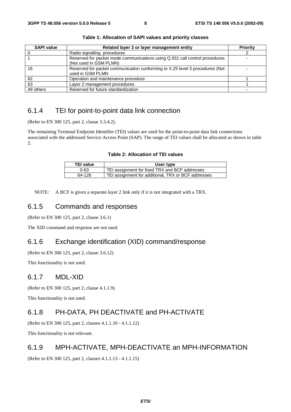| <b>SAPI value</b> | Related layer 3 or layer management entity                                                            | Priority |
|-------------------|-------------------------------------------------------------------------------------------------------|----------|
|                   | Radio signalling procedures                                                                           |          |
|                   | Reserved for packet mode communications using Q.931 call control procedures<br>(Not used in GSM PLMN) |          |
| 16                | Reserved for packet communication conforming to X.25 level 3 procedures (Not<br>used in GSM PLMN      |          |
| 62                | Operation and maintenance procedure                                                                   |          |
| 63                | Layer 2 management procedures                                                                         |          |
| All others        | Reserved for future standardization                                                                   |          |

**Table 1: Allocation of SAPI values and priority classes** 

# 6.1.4 TEI for point-to-point data link connection

(Refer to EN 300 125, part 2, clause 3.3.4.2).

The remaining Terminal Endpoint Identifier (TEI) values are used for the point-to-point data link connections associated with the addressed Service Access Point (SAP). The range of TEI values shall be allocated as shown in table 2.

#### **Table 2: Allocation of TEI values**

| <b>TEI value</b> | User type                                           |  |
|------------------|-----------------------------------------------------|--|
| $0 - 63$         | TEI assignment for fixed TRX and BCF addresses      |  |
| 64-126           | TEI assignment for additional, TRX or BCF addresses |  |

NOTE: A BCF is given a separate layer 2 link only if it is not integrated with a TRX.

### 6.1.5 Commands and responses

(Refer to EN 300 125, part 2, clause 3.6.1)

The XID command and response are not used.

## 6.1.6 Exchange identification (XID) command/response

(Refer to EN 300 125, part 2, clause 3.6.12)

This functionality is not used.

### 6.1.7 MDL-XID

(Refer to EN 300 125, part 2, clause 4.1.1.9)

This functionality is not used.

### 6.1.8 PH-DATA, PH DEACTIVATE and PH-ACTIVATE

(Refer to EN 300 125, part 2, clauses 4.1.1.10 - 4.1.1.12)

This functionality is not relevant.

### 6.1.9 MPH-ACTIVATE, MPH-DEACTIVATE an MPH-INFORMATION

(Refer to EN 300 125, part 2, clauses 4.1.1.13 - 4.1.1.15)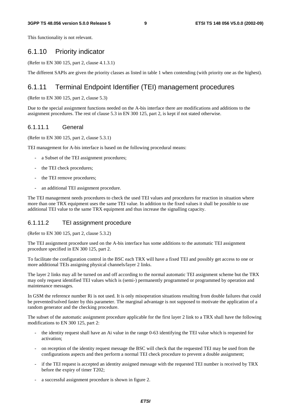This functionality is not relevant.

### 6.1.10 Priority indicator

(Refer to EN 300 125, part 2, clause 4.1.3.1)

The different SAPIs are given the priority classes as listed in table 1 when contending (with priority one as the highest).

### 6.1.11 Terminal Endpoint Identifier (TEI) management procedures

#### (Refer to EN 300 125, part 2, clause 5.3)

Due to the special assignment functions needed on the A-bis interface there are modifications and additions to the assignment procedures. The rest of clause 5.3 in EN 300 125, part 2, is kept if not stated otherwise.

#### 6.1.11.1 General

(Refer to EN 300 125, part 2, clause 5.3.1)

TEI management for A-bis interface is based on the following procedural means:

- a Subset of the TEI assignment procedures;
- the TEI check procedures;
- the TEI remove procedures;
- an additional TEI assignment procedure.

The TEI management needs procedures to check the used TEI values and procedures for reaction in situation where more than one TRX equipment uses the same TEI value. In addition to the fixed values it shall be possible to use additional TEI value to the same TRX equipment and thus increase the signalling capacity.

#### 6.1.11.2 TEI assignment procedure

(Refer to EN 300 125, part 2, clause 5.3.2)

The TEI assignment procedure used on the A-bis interface has some additions to the automatic TEI assignment procedure specified in EN 300 125, part 2.

To facilitate the configuration control in the BSC each TRX will have a fixed TEI and possibly get access to one or more additional TEIs assigning physical channels/layer 2 links.

The layer 2 links may all be turned on and off according to the normal automatic TEI assignment scheme but the TRX may only request identified TEI values which is (semi-) permanently programmed or programmed by operation and maintenance messages.

In GSM the reference number Ri is not used. It is only misoperation situations resulting from double failures that could be prevented/solved faster by this parameter. The marginal advantage is not supposed to motivate the application of a random generator and the checking procedure.

The subset of the automatic assignment procedure applicable for the first layer 2 link to a TRX shall have the following modifications to EN 300 125, part 2:

- the identity request shall have an Ai value in the range 0-63 identifying the TEI value which is requested for activation;
- on reception of the identity request message the BSC will check that the requested TEI may be used from the configurations aspects and then perform a normal TEI check procedure to prevent a double assignment;
- if the TEI request is accepted an identity assigned message with the requested TEI number is received by TRX before the expiry of timer T202;
- a successful assignment procedure is shown in figure 2.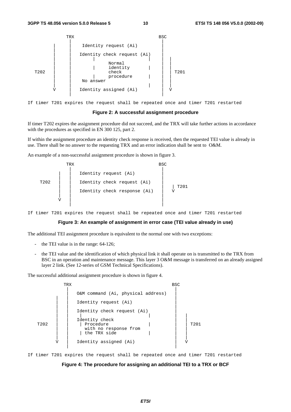

If timer T201 expires the request shall be repeated once and timer T201 restarted

#### **Figure 2: A successful assignment procedure**

If timer T202 expires the assignment procedure did not succeed, and the TRX will take further actions in accordance with the procedures as specified in EN 300 125, part 2.

If within the assignment procedure an identity check response is received, then the requested TEI value is already in use. There shall be no answer to the requesting TRX and an error indication shall be sent to O&M.

An example of a non-successful assignment procedure is shown in figure 3.

|           | TRX                                                                                  | <b>BSC</b> |
|-----------|--------------------------------------------------------------------------------------|------------|
| T202<br>V | Identity request (Ai)<br>Identity check request (Ai)<br>Identity check response (Ai) | T201       |
|           |                                                                                      |            |

If timer T201 expires the request shall be repeated once and timer T201 restarted

#### **Figure 3: An example of assignment in error case (TEI value already in use)**

The additional TEI assignment procedure is equivalent to the normal one with two exceptions:

- the TEI value is in the range:  $64-126$ ;
- the TEI value and the identification of which physical link it shall operate on is transmitted to the TRX from BSC in an operation and maintenance message. This layer 3 O&M message is transferred on an already assigned layer 2 link. (See 12-series of GSM Technical Specifications).

The successful additional assignment procedure is shown in figure 4.



If timer T201 expires the request shall be repeated once and timer T201 restarted

#### **Figure 4: The procedure for assigning an additional TEI to a TRX or BCF**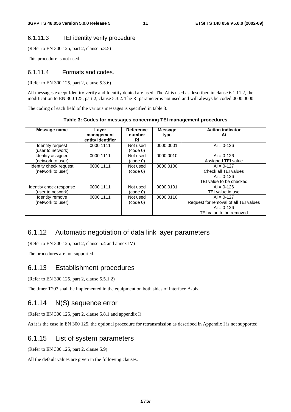### 6.1.11.3 TEI identity verify procedure

(Refer to EN 300 125, part 2, clause 5.3.5)

This procedure is not used.

#### 6.1.11.4 Formats and codes.

(Refer to EN 300 125, part 2, clause 5.3.6)

All messages except Identity verify and Identity denied are used. The Ai is used as described in clause 6.1.11.2, the modification to EN 300 125, part 2, clause 5.3.2. The Ri parameter is not used and will always be coded 0000 0000.

The coding of each field of the various messages is specified in table 3.

**Table 3: Codes for messages concerning TEI management procedures** 

| Message name                                 | Layer<br>management<br>entity identifier | <b>Reference</b><br>number<br>Ri | <b>Message</b><br>type | <b>Action indicator</b><br>Ai                         |
|----------------------------------------------|------------------------------------------|----------------------------------|------------------------|-------------------------------------------------------|
| Identity request<br>(user to network)        | 0000 1111                                | Not used<br>(code 0)             | 0000 0001              | $Ai = 0-126$                                          |
| Identity assigned<br>(network to user)       | 0000 1111                                | Not used<br>(code 0)             | 0000 0010              | $Ai = 0.126$<br>Assigned TEI value                    |
| Identity check request<br>(network to user)  | 0000 1111                                | Not used<br>(code 0)             | 0000 0100              | $Ai = 0-127$<br>Check all TEI values                  |
|                                              |                                          |                                  |                        | $Ai = 0.126$<br>TEI value to be checked               |
| Identity check response<br>(user to network) | 0000 1111                                | Not used<br>(code 0)             | 0000 0101              | $Ai = 0.126$<br>TEI value in use                      |
| Identity remove<br>(network to user)         | 0000 1111                                | Not used<br>(code 0)             | 0000 0110              | $Ai = 0-127$<br>Request for removal of all TEI values |
|                                              |                                          |                                  |                        | $Ai = 0.126$<br>TEI value to be removed               |

### 6.1.12 Automatic negotiation of data link layer parameters

(Refer to EN 300 125, part 2, clause 5.4 and annex IV)

The procedures are not supported.

#### 6.1.13 Establishment procedures

(Refer to EN 300 125, part 2, clause 5.5.1.2)

The timer T203 shall be implemented in the equipment on both sides of interface A-bis.

### 6.1.14 N(S) sequence error

(Refer to EN 300 125, part 2, clause 5.8.1 and appendix I)

As it is the case in EN 300 125, the optional procedure for retransmission as described in Appendix I is not supported.

### 6.1.15 List of system parameters

(Refer to EN 300 125, part 2, clause 5.9)

All the default values are given in the following clauses.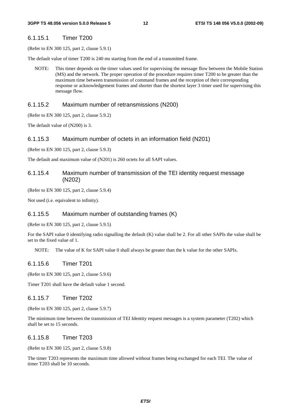#### 6.1.15.1 Timer T200

(Refer to EN 300 125, part 2, clause 5.9.1)

The default value of timer T200 is 240 ms starting from the end of a transmitted frame.

NOTE: This timer depends on the timer values used for supervising the message flow between the Mobile Station (MS) and the network. The proper operation of the procedure requires timer T200 to be greater than the maximum time between transmission of command frames and the reception of their corresponding response or acknowledgement frames and shorter than the shortest layer 3 timer used for supervising this message flow.

#### 6.1.15.2 Maximum number of retransmissions (N200)

(Refer to EN 300 125, part 2, clause 5.9.2)

The default value of (N200) is 3.

#### 6.1.15.3 Maximum number of octets in an information field (N201)

(Refer to EN 300 125, part 2, clause 5.9.3)

The default and maximum value of (N201) is 260 octets for all SAPI values.

#### 6.1.15.4 Maximum number of transmission of the TEI identity request message (N202)

(Refer to EN 300 125, part 2, clause 5.9.4)

Not used (i.e. equivalent to infinity).

#### 6.1.15.5 Maximum number of outstanding frames (K)

(Refer to EN 300 125, part 2, clause 5.9.5)

For the SAPI value 0 identifying radio signalling the default (K) value shall be 2. For all other SAPIs the value shall be set to the fixed value of 1.

NOTE: The value of K for SAPI value 0 shall always be greater than the k value for the other SAPIs.

#### 6.1.15.6 Timer T201

(Refer to EN 300 125, part 2, clause 5.9.6)

Timer T201 shall have the default value 1 second.

#### 6.1.15.7 Timer T202

(Refer to EN 300 125, part 2, clause 5.9.7)

The minimum time between the transmission of TEI Identity request messages is a system parameter (T202) which shall be set to 15 seconds.

#### 6.1.15.8 Timer T203

(Refer to EN 300 125, part 2, clause 5.9.8)

The timer T203 represents the maximum time allowed without frames being exchanged for each TEI. The value of timer T203 shall be 10 seconds.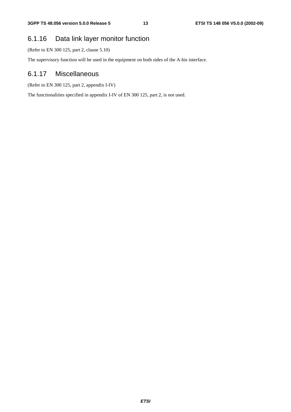# 6.1.16 Data link layer monitor function

(Refer to EN 300 125, part 2, clause 5.10)

The supervisory function will be used in the equipment on both sides of the A-bis interface.

## 6.1.17 Miscellaneous

(Refer to EN 300 125, part 2, appendix I-IV)

The functionalities specified in appendix I-IV of EN 300 125, part 2, is not used.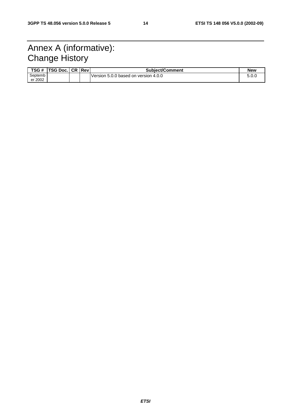# Annex A (informative): Change History

| TSG #   | <b>TSG Doc.I CR IRevi</b> |  | <b>Subject/Comment</b>               | <b>New</b> |
|---------|---------------------------|--|--------------------------------------|------------|
| Septemb |                           |  | Version 5.0.0 based on version 4.0.0 | 5.0.0      |
| er 2002 |                           |  |                                      |            |